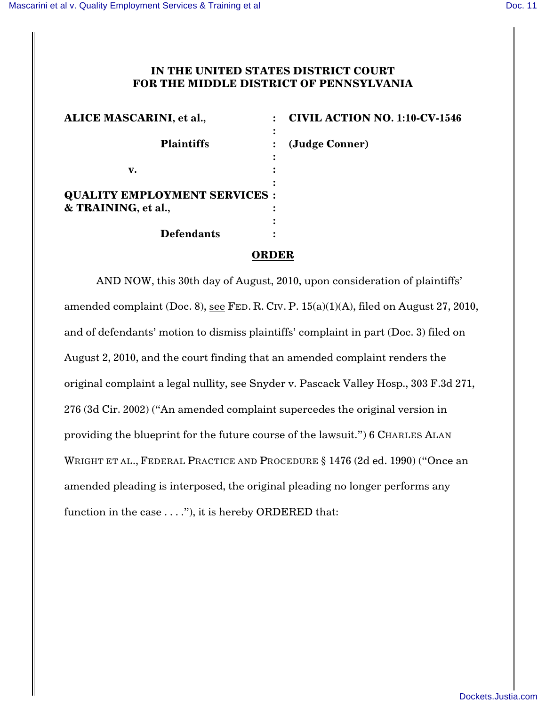## **IN THE UNITED STATES DISTRICT COURT FOR THE MIDDLE DISTRICT OF PENNSYLVANIA**

| <b>ALICE MASCARINI, et al.,</b>      | <b>CIVIL ACTION NO. 1:10-CV-1546</b> |
|--------------------------------------|--------------------------------------|
| <b>Plaintiffs</b>                    | (Judge Conner)                       |
| v.                                   |                                      |
| <b>QUALITY EMPLOYMENT SERVICES :</b> |                                      |
| & TRAINING, et al.,                  |                                      |
| <b>Defendants</b>                    |                                      |
|                                      |                                      |

## **ORDER**

AND NOW, this 30th day of August, 2010, upon consideration of plaintiffs' amended complaint (Doc. 8), see FED. R. CIV. P. 15(a)(1)(A), filed on August 27, 2010, and of defendants' motion to dismiss plaintiffs' complaint in part (Doc. 3) filed on August 2, 2010, and the court finding that an amended complaint renders the original complaint a legal nullity, see Snyder v. Pascack Valley Hosp., 303 F.3d 271, 276 (3d Cir. 2002) ("An amended complaint supercedes the original version in providing the blueprint for the future course of the lawsuit.") 6 CHARLES ALAN WRIGHT ET AL., FEDERAL PRACTICE AND PROCEDURE § 1476 (2d ed. 1990) ("Once an amended pleading is interposed, the original pleading no longer performs any function in the case  $\dots$ ."), it is hereby ORDERED that: